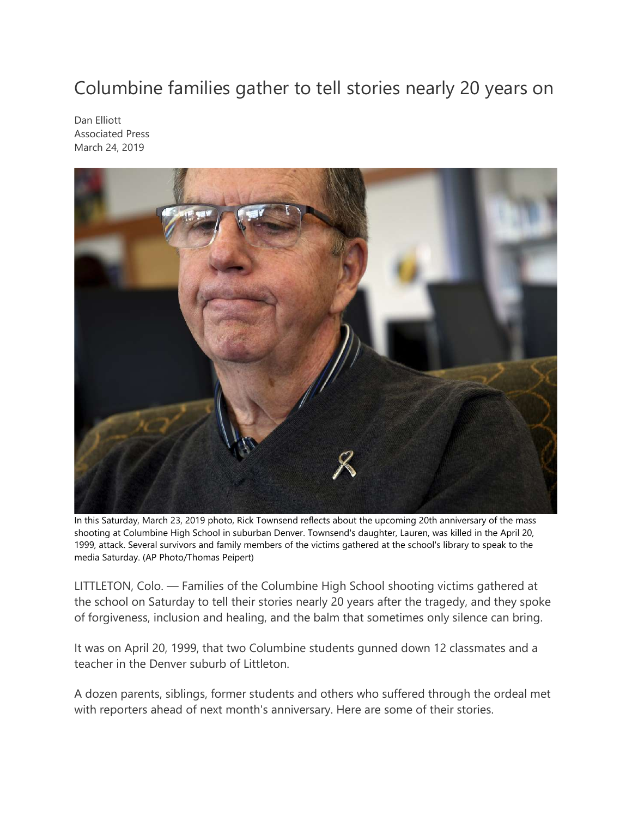## Columbine families gather to tell stories nearly 20 years on

Dan Elliott Associated Press March 24, 2019



In this Saturday, March 23, 2019 photo, Rick Townsend reflects about the upcoming 20th anniversary of the mass shooting at Columbine High School in suburban Denver. Townsend's daughter, Lauren, was killed in the April 20, 1999, attack. Several survivors and family members of the victims gathered at the school's library to speak to the media Saturday. (AP Photo/Thomas Peipert)

LITTLETON, Colo. — Families of the Columbine High School shooting victims gathered at the school on Saturday to tell their stories nearly 20 years after the tragedy, and they spoke of forgiveness, inclusion and healing, and the balm that sometimes only silence can bring.

It was on April 20, 1999, that two Columbine students gunned down 12 classmates and a teacher in the Denver suburb of Littleton.

A dozen parents, siblings, former students and others who suffered through the ordeal met with reporters ahead of next month's anniversary. Here are some of their stories.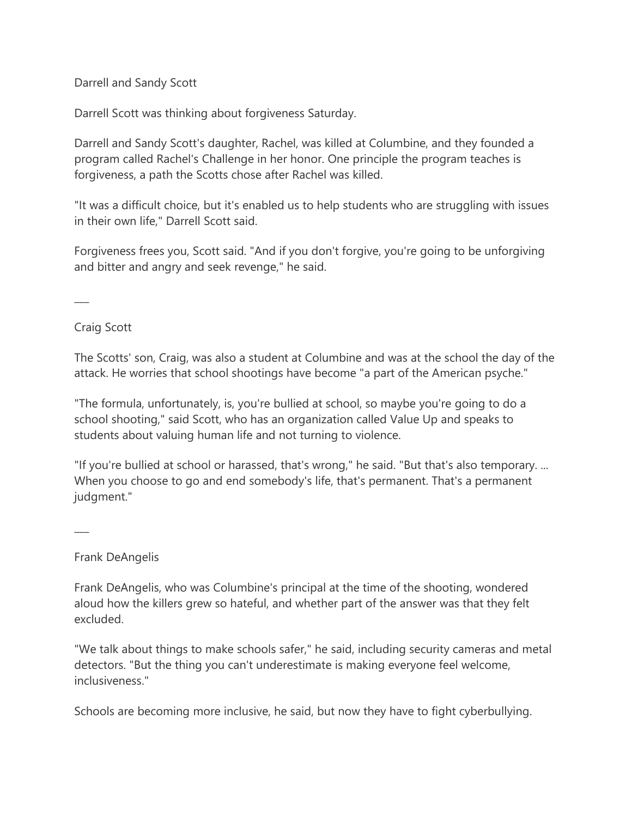Darrell and Sandy Scott

Darrell Scott was thinking about forgiveness Saturday.

Darrell and Sandy Scott's daughter, Rachel, was killed at Columbine, and they founded a program called Rachel's Challenge in her honor. One principle the program teaches is forgiveness, a path the Scotts chose after Rachel was killed.

"It was a difficult choice, but it's enabled us to help students who are struggling with issues in their own life," Darrell Scott said.

Forgiveness frees you, Scott said. "And if you don't forgive, you're going to be unforgiving and bitter and angry and seek revenge," he said.

 $\overline{\phantom{a}}$ 

Craig Scott

The Scotts' son, Craig, was also a student at Columbine and was at the school the day of the attack. He worries that school shootings have become "a part of the American psyche."

"The formula, unfortunately, is, you're bullied at school, so maybe you're going to do a school shooting," said Scott, who has an organization called Value Up and speaks to students about valuing human life and not turning to violence.

"If you're bullied at school or harassed, that's wrong," he said. "But that's also temporary. ... When you choose to go and end somebody's life, that's permanent. That's a permanent judgment."

 $\overline{\phantom{a}}$ 

Frank DeAngelis

Frank DeAngelis, who was Columbine's principal at the time of the shooting, wondered aloud how the killers grew so hateful, and whether part of the answer was that they felt excluded.

"We talk about things to make schools safer," he said, including security cameras and metal detectors. "But the thing you can't underestimate is making everyone feel welcome, inclusiveness."

Schools are becoming more inclusive, he said, but now they have to fight cyberbullying.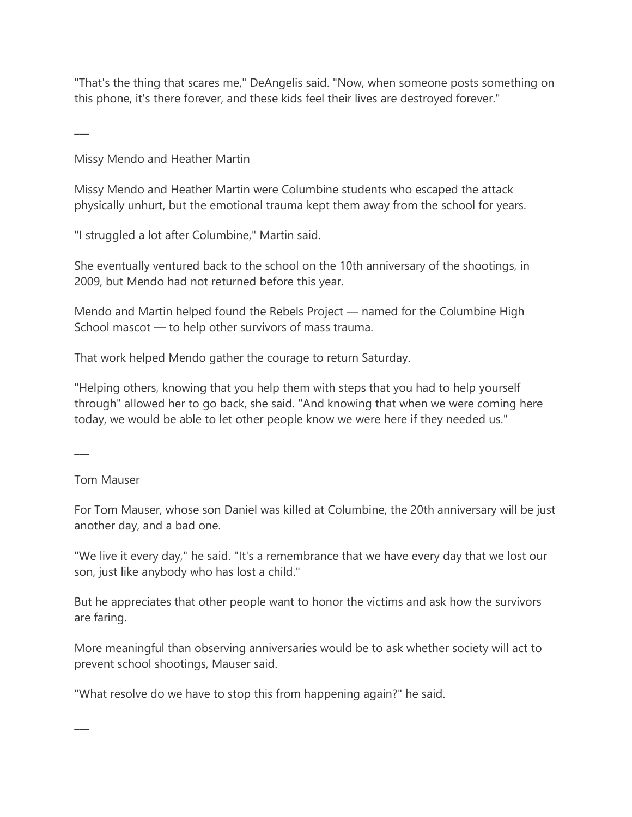"That's the thing that scares me," DeAngelis said. "Now, when someone posts something on this phone, it's there forever, and these kids feel their lives are destroyed forever."

Missy Mendo and Heather Martin

Missy Mendo and Heather Martin were Columbine students who escaped the attack physically unhurt, but the emotional trauma kept them away from the school for years.

"I struggled a lot after Columbine," Martin said.

She eventually ventured back to the school on the 10th anniversary of the shootings, in 2009, but Mendo had not returned before this year.

Mendo and Martin helped found the Rebels Project — named for the Columbine High School mascot — to help other survivors of mass trauma.

That work helped Mendo gather the courage to return Saturday.

"Helping others, knowing that you help them with steps that you had to help yourself through" allowed her to go back, she said. "And knowing that when we were coming here today, we would be able to let other people know we were here if they needed us."

 $\overline{\phantom{a}}$ 

 $\overline{\phantom{a}}$ 

 $\overline{\phantom{a}}$ 

Tom Mauser

For Tom Mauser, whose son Daniel was killed at Columbine, the 20th anniversary will be just another day, and a bad one.

"We live it every day," he said. "It's a remembrance that we have every day that we lost our son, just like anybody who has lost a child."

But he appreciates that other people want to honor the victims and ask how the survivors are faring.

More meaningful than observing anniversaries would be to ask whether society will act to prevent school shootings, Mauser said.

"What resolve do we have to stop this from happening again?" he said.